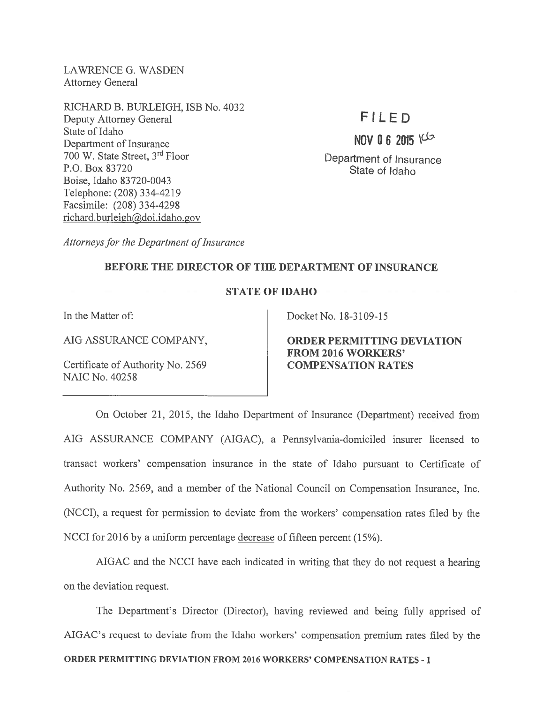LAWRENCE G. WASDEN Attorney General

RICHARD B. BURLEIGH, ISB No. 4032 Deputy Attorney General  $\overline{F} \perp E D$ State of Idaho  $\frac{1}{2}$  Department of Insurance iuV u a O15 ' $\frac{1}{2}$  O15 ' $\frac{1}{2}$  O15 ' $\frac{1}{2}$ 700 W. State Street, 3<sup>rd</sup> Floor Department of Insurance<br>P.O. Box 83720 State of Idaho Boise, Idaho 83720-0043 Telephone: (208) 334-4219 Facsimile: (208) 334-4298 richard.burleigh@doi.idaho.gov

State of Idaho

Attorneys for the Department of Insurance

## BEFORE THE DIRECTOR OF THE DEPARTMENT OF INSURANCE

## STATE OF IDAHO

In the Matter of:

AIG ASSURANCE COMPANY,

Certificate of Authority No. 2569 NAIC No. 40258

Docket No. 18-3109-15

ORDER PERMITTING DEVIATION FROM 2016 WORKERS' COMPENSATION RATES

On October 21, 2015, the Idaho Department of Insurance (Department) received from AIG ASSURANCE COMPANY (AIGAC), <sup>a</sup> Pennsylvania-domiciled insurer licensed to transact workers' compensation insurance in the state of Idaho pursuan<sup>t</sup> to Certificate of Authority No. 2569, and <sup>a</sup> member of the National Council on Compensation Insurance, Inc. (NCCI), <sup>a</sup> reques<sup>t</sup> for permission to deviate from the workers' compensation rates filed by the NCCI for 2016 by <sup>a</sup> uniform percentage decrease of fifteen percen<sup>t</sup> (15%).

AIGAC and the NCCI have each indicated in writing that they do not reques<sup>t</sup> <sup>a</sup> hearing on the deviation request.

The Department's Director (Director), having reviewed and being fully apprised of AIGAC's reques<sup>t</sup> to deviate from the Idaho workers' compensation premium rates filed by the ORDER PERMITTING DEVIATION FROM 2016 WORKERS' COMPENSATION RATES -1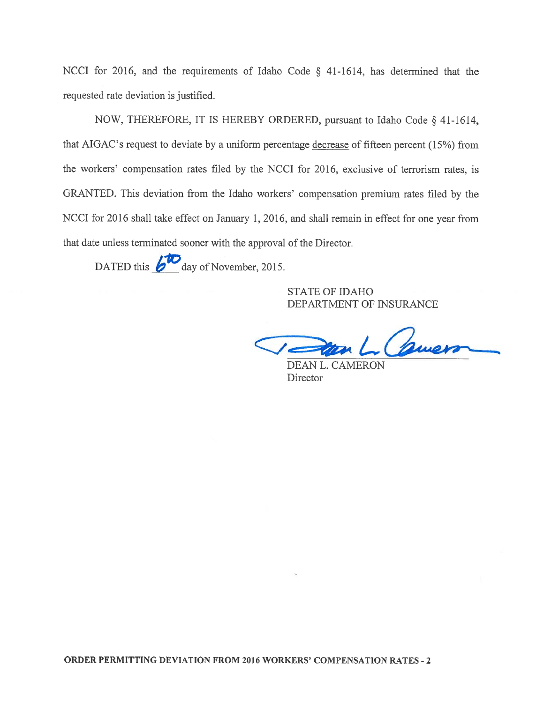NCCI for 2016, and the requirements of Idaho Code § 41-1614, has determined that the requested rate deviation is justified.

NOW, THEREFORE, IT IS HEREBY ORDERED, pursuan<sup>t</sup> to Idaho Code § 41-1614, that AIGAC's reques<sup>t</sup> to deviate by <sup>a</sup> uniform percentage decrease of fifteen percen<sup>t</sup> (15%) from the workers' compensation rates filed by the NCCI for 2016, exclusive of terrorism rates, is GRANTED. This deviation from the Idaho workers' compensation premium rates filed by the NCCI for 2016 shall take effect on January 1, 2016, and shall remain in effect for one year from that date unless terminated sooner with the approval of the Director.

DATED this  $b^{\overline{10}}$  day of November, 2015.

STATE OF IDAHO DEPARTMENT OF INSURANCE

Zan L. Camero

DEAN L. CAMERON **Director**